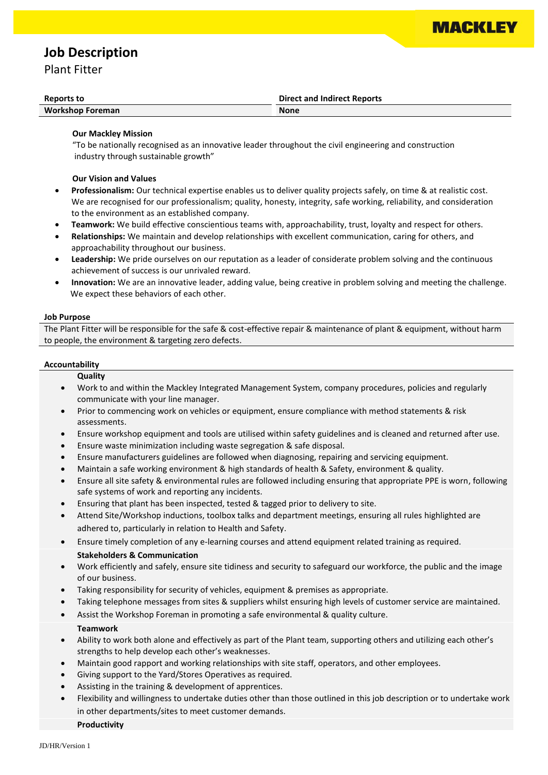

# **Job Description**

Plant Fitter

| <b>Reports to</b>       | <b>Direct and Indirect Reports</b> |
|-------------------------|------------------------------------|
| <b>Workshop Foreman</b> | <b>None</b>                        |

#### **Our Mackley Mission**

"To be nationally recognised as an innovative leader throughout the civil engineering and construction industry through sustainable growth"

### **Our Vision and Values**

- **Professionalism:** Our technical expertise enables us to deliver quality projects safely, on time & at realistic cost. We are recognised for our professionalism; quality, honesty, integrity, safe working, reliability, and consideration to the environment as an established company.
- **Teamwork:** We build effective conscientious teams with, approachability, trust, loyalty and respect for others.
- **Relationships:** We maintain and develop relationships with excellent communication, caring for others, and approachability throughout our business.
- **Leadership:** We pride ourselves on our reputation as a leader of considerate problem solving and the continuous achievement of success is our unrivaled reward.
- **Innovation:** We are an innovative leader, adding value, being creative in problem solving and meeting the challenge. We expect these behaviors of each other.

#### **Job Purpose**

The Plant Fitter will be responsible for the safe & cost-effective repair & maintenance of plant & equipment, without harm to people, the environment & targeting zero defects.

#### **Accountability**

**Quality**

- Work to and within the Mackley Integrated Management System, company procedures, policies and regularly communicate with your line manager.
- Prior to commencing work on vehicles or equipment, ensure compliance with method statements & risk assessments.
- Ensure workshop equipment and tools are utilised within safety guidelines and is cleaned and returned after use.
- Ensure waste minimization including waste segregation & safe disposal.
- Ensure manufacturers guidelines are followed when diagnosing, repairing and servicing equipment.
- Maintain a safe working environment & high standards of health & Safety, environment & quality.
- Ensure all site safety & environmental rules are followed including ensuring that appropriate PPE is worn, following safe systems of work and reporting any incidents.
- Ensuring that plant has been inspected, tested & tagged prior to delivery to site.
- Attend Site/Workshop inductions, toolbox talks and department meetings, ensuring all rules highlighted are adhered to, particularly in relation to Health and Safety.
- Ensure timely completion of any e-learning courses and attend equipment related training as required.

### **Stakeholders & Communication**

- Work efficiently and safely, ensure site tidiness and security to safeguard our workforce, the public and the image of our business.
- Taking responsibility for security of vehicles, equipment & premises as appropriate.
- Taking telephone messages from sites & suppliers whilst ensuring high levels of customer service are maintained.
- Assist the Workshop Foreman in promoting a safe environmental & quality culture.

# **Teamwork**

- Ability to work both alone and effectively as part of the Plant team, supporting others and utilizing each other's strengths to help develop each other's weaknesses.
- Maintain good rapport and working relationships with site staff, operators, and other employees.
- Giving support to the Yard/Stores Operatives as required.
- Assisting in the training & development of apprentices.
- Flexibility and willingness to undertake duties other than those outlined in this job description or to undertake work in other departments/sites to meet customer demands.

**Productivity**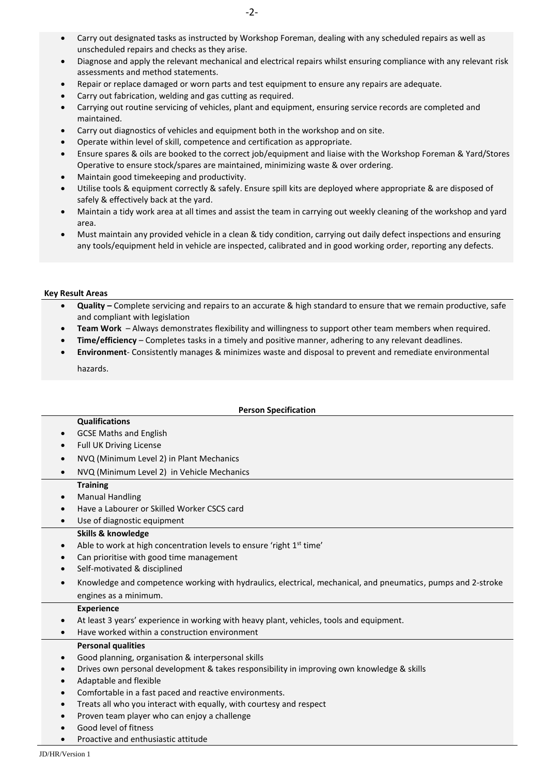- Carry out designated tasks as instructed by Workshop Foreman, dealing with any scheduled repairs as well as unscheduled repairs and checks as they arise.
- Diagnose and apply the relevant mechanical and electrical repairs whilst ensuring compliance with any relevant risk assessments and method statements.
- Repair or replace damaged or worn parts and test equipment to ensure any repairs are adequate.
- Carry out fabrication, welding and gas cutting as required.
- Carrying out routine servicing of vehicles, plant and equipment, ensuring service records are completed and maintained.
- Carry out diagnostics of vehicles and equipment both in the workshop and on site.
- Operate within level of skill, competence and certification as appropriate.
- Ensure spares & oils are booked to the correct job/equipment and liaise with the Workshop Foreman & Yard/Stores Operative to ensure stock/spares are maintained, minimizing waste & over ordering.
- Maintain good timekeeping and productivity.
- Utilise tools & equipment correctly & safely. Ensure spill kits are deployed where appropriate & are disposed of safely & effectively back at the yard.
- Maintain a tidy work area at all times and assist the team in carrying out weekly cleaning of the workshop and yard area.
- Must maintain any provided vehicle in a clean & tidy condition, carrying out daily defect inspections and ensuring any tools/equipment held in vehicle are inspected, calibrated and in good working order, reporting any defects.

### **Key Result Areas**

- **Quality –** Complete servicing and repairs to an accurate & high standard to ensure that we remain productive, safe and compliant with legislation
- **Team Work** Always demonstrates flexibility and willingness to support other team members when required.
- **Time/efficiency** Completes tasks in a timely and positive manner, adhering to any relevant deadlines.
- **Environment** Consistently manages & minimizes waste and disposal to prevent and remediate environmental

hazards.

### **Person Specification**

#### **Qualifications**

- GCSE Maths and English
- Full UK Driving License
- NVQ (Minimum Level 2) in Plant Mechanics
- NVQ (Minimum Level 2) in Vehicle Mechanics

### **Training**

- Manual Handling
- Have a Labourer or Skilled Worker CSCS card
- Use of diagnostic equipment

### **Skills & knowledge**

- Able to work at high concentration levels to ensure 'right  $1<sup>st</sup>$  time'
- Can prioritise with good time management
- Self-motivated & disciplined
- Knowledge and competence working with hydraulics, electrical, mechanical, and pneumatics, pumps and 2-stroke engines as a minimum.

# **Experience**

- At least 3 years' experience in working with heavy plant, vehicles, tools and equipment.
- Have worked within a construction environment

### **Personal qualities**

- Good planning, organisation & interpersonal skills
- Drives own personal development & takes responsibility in improving own knowledge & skills
- Adaptable and flexible
- Comfortable in a fast paced and reactive environments.
- Treats all who you interact with equally, with courtesy and respect
- Proven team player who can enjoy a challenge
- Good level of fitness
- Proactive and enthusiastic attitude